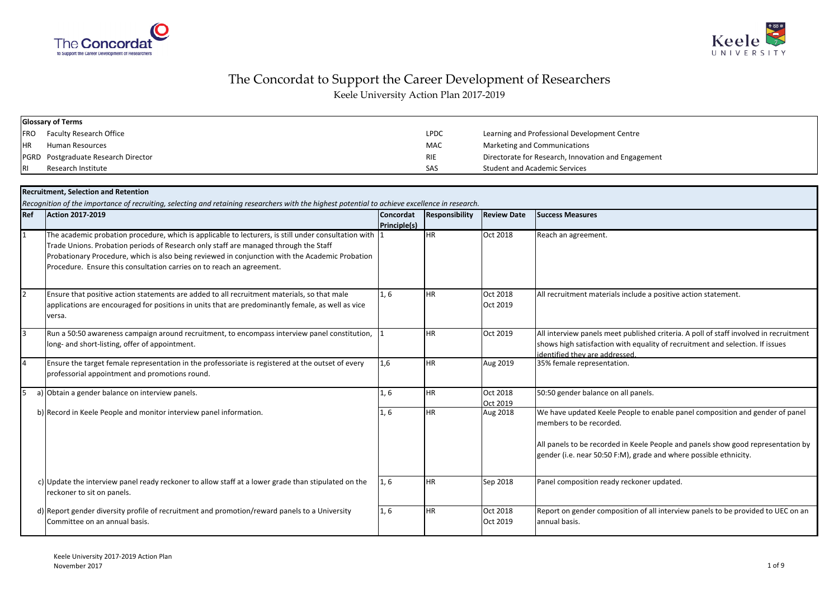



# The Concordat to Support the Career Development of Researchers

Keele University Action Plan 2017-2019

|           | <b>Glossary of Terms</b>            |             |                                                     |
|-----------|-------------------------------------|-------------|-----------------------------------------------------|
|           | FRO Faculty Research Office         | <b>LPDC</b> | Learning and Professional Development Centre        |
| <b>HR</b> | Human Resources                     | <b>MAC</b>  | Marketing and Communications                        |
|           | PGRD Postgraduate Research Director | <b>RIE</b>  | Directorate for Research, Innovation and Engagement |
| IRI       | Research Institute                  | SAS         | <b>Student and Academic Services</b>                |

|    | <b>Recruitment, Selection and Retention</b>                                                                                                                                                                                                                                                                                                                                |      |              |                |                      |                                                                                                                                                                                                                                                                  |  |  |  |
|----|----------------------------------------------------------------------------------------------------------------------------------------------------------------------------------------------------------------------------------------------------------------------------------------------------------------------------------------------------------------------------|------|--------------|----------------|----------------------|------------------------------------------------------------------------------------------------------------------------------------------------------------------------------------------------------------------------------------------------------------------|--|--|--|
|    | Recognition of the importance of recruiting, selecting and retaining researchers with the highest potential to achieve excellence in research.<br>Ref<br><b>Action 2017-2019</b>                                                                                                                                                                                           |      | Concordat    | Responsibility | <b>Review Date</b>   | <b>Success Measures</b>                                                                                                                                                                                                                                          |  |  |  |
|    | The academic probation procedure, which is applicable to lecturers, is still under consultation with 1<br>Trade Unions. Probation periods of Research only staff are managed through the Staff<br>Probationary Procedure, which is also being reviewed in conjunction with the Academic Probation<br>Procedure. Ensure this consultation carries on to reach an agreement. |      | Principle(s) | <b>HR</b>      | Oct 2018             | Reach an agreement.                                                                                                                                                                                                                                              |  |  |  |
| 2  | Ensure that positive action statements are added to all recruitment materials, so that male<br>applications are encouraged for positions in units that are predominantly female, as well as vice<br>versa.                                                                                                                                                                 | 1.6  |              | <b>HR</b>      | Oct 2018<br>Oct 2019 | All recruitment materials include a positive action statement.                                                                                                                                                                                                   |  |  |  |
| Iз | Run a 50:50 awareness campaign around recruitment, to encompass interview panel constitution,<br>long- and short-listing, offer of appointment.                                                                                                                                                                                                                            |      |              | <b>HR</b>      | Oct 2019             | All interview panels meet published criteria. A poll of staff involved in recruitment<br>shows high satisfaction with equality of recruitment and selection. If issues<br>identified they are addressed.                                                         |  |  |  |
| l4 | Ensure the target female representation in the professoriate is registered at the outset of every<br>professorial appointment and promotions round.                                                                                                                                                                                                                        | 1,6  |              | <b>HR</b>      | Aug 2019             | 35% female representation.                                                                                                                                                                                                                                       |  |  |  |
| l5 | a) Obtain a gender balance on interview panels.                                                                                                                                                                                                                                                                                                                            | 1.6  |              | <b>HR</b>      | Oct 2018<br>Oct 2019 | 50:50 gender balance on all panels.                                                                                                                                                                                                                              |  |  |  |
|    | b) Record in Keele People and monitor interview panel information.                                                                                                                                                                                                                                                                                                         | 1, 6 |              | <b>HR</b>      | Aug 2018             | We have updated Keele People to enable panel composition and gender of panel<br>members to be recorded.<br>All panels to be recorded in Keele People and panels show good representation by<br>gender (i.e. near 50:50 F:M), grade and where possible ethnicity. |  |  |  |
|    | c) Update the interview panel ready reckoner to allow staff at a lower grade than stipulated on the<br>reckoner to sit on panels.                                                                                                                                                                                                                                          | 1, 6 |              | <b>HR</b>      | Sep 2018             | Panel composition ready reckoner updated.                                                                                                                                                                                                                        |  |  |  |
|    | d) Report gender diversity profile of recruitment and promotion/reward panels to a University<br>Committee on an annual basis.                                                                                                                                                                                                                                             | 1, 6 |              | <b>HR</b>      | Oct 2018<br>Oct 2019 | Report on gender composition of all interview panels to be provided to UEC on an<br>annual basis.                                                                                                                                                                |  |  |  |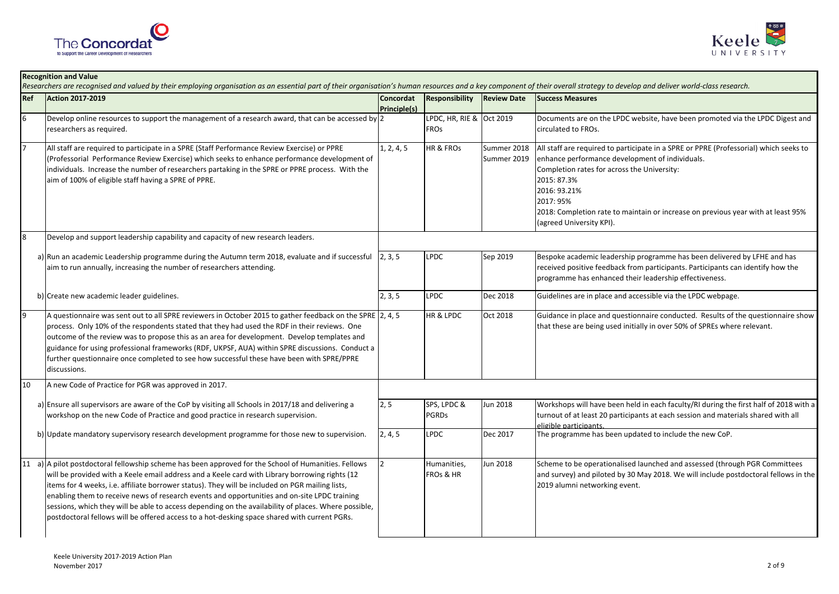

**Recognition and Value**



#### **Ref Action 2017-2019 Concordat Principle(s)Responsibility Review Date Success Measures** 6Develop online resources to support the management of a research award, that can be accessed by 2 researchers as required.<sup>2</sup> LPDC, HR, RIE & FROsOct 2019 Documents are on the LPDC website, have been promoted via the LPDC Digest and circulated to FROs.<sup>7</sup> All staff are required to participate in a SPRE (Staff Performance Review Exercise) or PPRE (Professorial Performance Review Exercise) which seeks to enhance performance development of individuals. Increase the number of researchers partaking in the SPRE or PPRE process. With the aim of 100% of eligible staff having a SPRE of PPRE.1, 2, 4, 5 HR & FROs Summer 2018 Summer 2019All staff are required to participate in a SPRE or PPRE (Professorial) which seeks to enhance performance development of individuals.Completion rates for across the University:2015: 87.3% 2016: 93.21%2017: 95% 2018: Completion rate to maintain or increase on previous year with at least 95% (agreed University KPI).Develop and support leadership capability and capacity of new research leaders. a) Run an academic Leadership programme during the Autumn term 2018, evaluate and if successful aim to run annually, increasing the number of researchers attending.2, 3, 5 LPDC Sep 2019 Bespoke academic leadership programme has been delivered by LFHE and has received positive feedback from participants. Participants can identify how the programme has enhanced their leadership effectiveness.b) Create new academic leader guidelines. 2, 3, 2, 3, 2, 3, 3, 2, 3, 3, 2, 2, 3, 3, 2, 2, 3, 2, 2, 3, 2, 2, 3, 3, 2, 2, 3, 2, 2, 3, 3, 2, 2, 3, 2, 2, 3, 2, 2, 3, 2, 2, 3, 3, 2, 2, 3, 3, 2, 2, 3, 3, 2, 2, 3, 3, 2, 2, 3, 3, A questionnaire was sent out to all SPRE reviewers in October 2015 to gather feedback on the SPRE  $\vert$  2, 4, 5 process. Only 10% of the respondents stated that they had used the RDF in their reviews. One  $\overline{a}$  outcome of the review was to propose this as an area for development. Develop templates and guidance for using professional frameworks (RDF, UKPSF, AUA) within SPRE discussions. Conduct a further questionnaire once completed to see how successful these have been with SPRE/PPRE discussions.2, 4, 5 HR & LPDC Oct 2018 Guidance in place and questionnaire conducted. Results of the questionnaire show that these are being used initially in over 50% of SPREs where relevant.<sup>10</sup> A new Code of Practice for PGR was approved in 2017. a) Ensure all supervisors are aware of the CoP by visiting all Schools in 2017/18 and delivering a workshop on the new Code of Practice and good practice in research supervision.2, 5 SPS, LPDC & PGRDsJun 2018 Workshops will have been held in each faculty/RI during the first half of 2018 with a turnout of at least 20 participants at each session and materials shared with all eligible participants.C **Dec 2017** The programme has been updated to include the new CoP. b) Update mandatory supervisory research development programme for those new to supervision. 2, 4, 5 LPDC  $\left(11 \right)$  a) A pilot postdoctoral fellowship scheme has been approved for the School of Humanities. Fellows will be provided with a Keele email address and a Keele card with Library borrowing rights (12 items for 4 weeks, i.e. affiliate borrower status). They will be included on PGR mailing lists, enabling them to receive news of research events and opportunities and on-site LPDC training sessions, which they will be able to access depending on the availability of places. Where possible, postdoctoral fellows will be offered access to a hot-desking space shared with current PGRs. <sup>2</sup> Humanities, FROs & HRJun 2018 Scheme to be operationalised launched and assessed (through PGR Committees and survey) and piloted by 30 May 2018. We will include postdoctoral fellows in the 2019 alumni networking event. Researchers are recognised and valued by their employing organisation as an essential part of their organisation's human resources and a key component of their overall strategy to develop and deliver world-class research.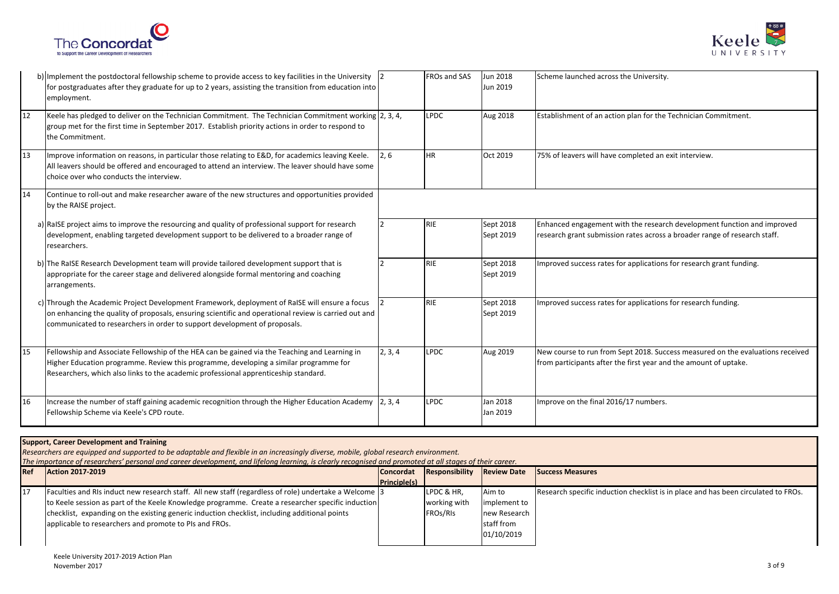



|    | b) Implement the postdoctoral fellowship scheme to provide access to key facilities in the University 2<br>for postgraduates after they graduate for up to 2 years, assisting the transition from education into<br>employment.                                                     |         | FROs and SAS | Jun 2018<br>Jun 2019   | Scheme launched across the University.                                                                                                               |
|----|-------------------------------------------------------------------------------------------------------------------------------------------------------------------------------------------------------------------------------------------------------------------------------------|---------|--------------|------------------------|------------------------------------------------------------------------------------------------------------------------------------------------------|
| 12 | Keele has pledged to deliver on the Technician Commitment. The Technician Commitment working 2, 3, 4,<br>group met for the first time in September 2017. Establish priority actions in order to respond to<br>the Commitment.                                                       |         | <b>LPDC</b>  | Aug 2018               | Establishment of an action plan for the Technician Commitment.                                                                                       |
| 13 | Improve information on reasons, in particular those relating to E&D, for academics leaving Keele.<br>All leavers should be offered and encouraged to attend an interview. The leaver should have some<br>choice over who conducts the interview.                                    | 2.6     | <b>HR</b>    | Oct 2019               | 75% of leavers will have completed an exit interview.                                                                                                |
| 14 | Continue to roll-out and make researcher aware of the new structures and opportunities provided<br>by the RAISE project.                                                                                                                                                            |         |              |                        |                                                                                                                                                      |
|    | a) RaISE project aims to improve the resourcing and quality of professional support for research<br>development, enabling targeted development support to be delivered to a broader range of<br>researchers.                                                                        |         | RIE          | Sept 2018<br>Sept 2019 | Enhanced engagement with the research development function and improved<br>research grant submission rates across a broader range of research staff. |
|    | b) The RaISE Research Development team will provide tailored development support that is<br>appropriate for the career stage and delivered alongside formal mentoring and coaching<br>arrangements.                                                                                 |         | <b>RIE</b>   | Sept 2018<br>Sept 2019 | Improved success rates for applications for research grant funding.                                                                                  |
|    | c) Through the Academic Project Development Framework, deployment of RaISE will ensure a focus<br>on enhancing the quality of proposals, ensuring scientific and operational review is carried out and<br>communicated to researchers in order to support development of proposals. |         | RIE          | Sept 2018<br>Sept 2019 | Improved success rates for applications for research funding.                                                                                        |
| 15 | Fellowship and Associate Fellowship of the HEA can be gained via the Teaching and Learning in<br>Higher Education programme. Review this programme, developing a similar programme for<br>Researchers, which also links to the academic professional apprenticeship standard.       | 2, 3, 4 | <b>LPDC</b>  | Aug 2019               | New course to run from Sept 2018. Success measured on the evaluations received<br>from participants after the first year and the amount of uptake.   |
| 16 | Increase the number of staff gaining academic recognition through the Higher Education Academy $\vert 2, 3, 4 \rangle$<br>Fellowship Scheme via Keele's CPD route.                                                                                                                  |         | <b>LPDC</b>  | Jan 2018<br>Jan 2019   | Improve on the final 2016/17 numbers.                                                                                                                |

### **Support, Career Development and Training**

*Researchers are equipped and supported to be adaptable and flexible in an increasingly diverse, mobile, global research environment.*

*The importance of researchers' personal and career development, and lifelong learning, is clearly recognised and promoted at all stages of their career.*

| Ref | <b>Action 2017-2019</b>                                                                               | <b>Concordat</b> | Responsibility         | <b>Review Date</b> | <b>Success Measures</b>                                                            |
|-----|-------------------------------------------------------------------------------------------------------|------------------|------------------------|--------------------|------------------------------------------------------------------------------------|
|     |                                                                                                       | Principle(s)     |                        |                    |                                                                                    |
| 117 | Faculties and RIs induct new research staff. All new staff (regardless of role) undertake a Welcome 3 |                  | <b>ILPDC &amp; HR,</b> | Aim to             | Research specific induction checklist is in place and has been circulated to FROS. |
|     | to Keele session as part of the Keele Knowledge programme. Create a researcher specific induction     |                  | working with           | implement to       |                                                                                    |
|     | checklist, expanding on the existing generic induction checklist, including additional points         |                  | FROs/RIs               | new Research       |                                                                                    |
|     | applicable to researchers and promote to PIs and FROs.                                                |                  |                        | staff from         |                                                                                    |
|     |                                                                                                       |                  |                        | 01/10/2019         |                                                                                    |
|     |                                                                                                       |                  |                        |                    |                                                                                    |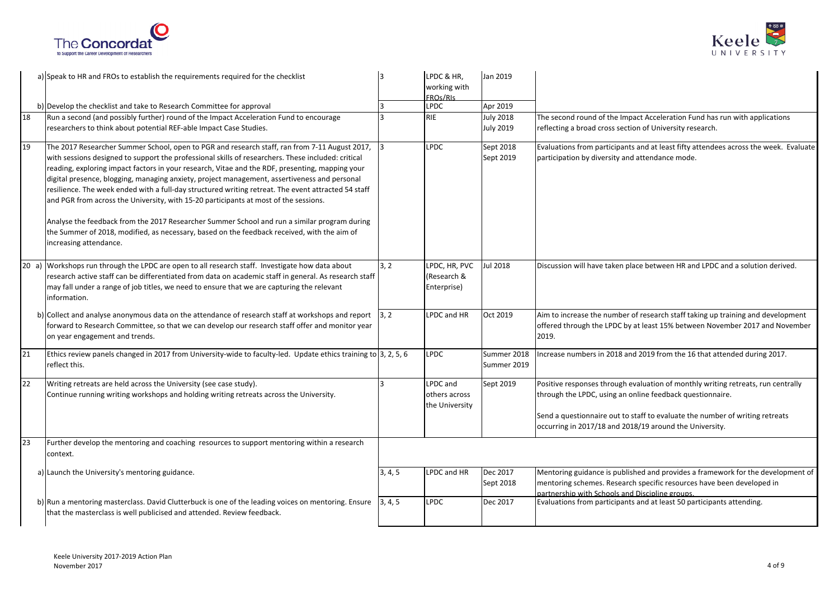



|    | a) Speak to HR and FROs to establish the requirements required for the checklist                                                                                                                                                                                                                                                                                                                                                                                                                                                                                                                                                                                                                                                                                                                                               |         | LPDC & HR,<br>working with<br>FROs/RIs      | Jan 2019                             |                                                                                                                                                                                                                                                                                          |
|----|--------------------------------------------------------------------------------------------------------------------------------------------------------------------------------------------------------------------------------------------------------------------------------------------------------------------------------------------------------------------------------------------------------------------------------------------------------------------------------------------------------------------------------------------------------------------------------------------------------------------------------------------------------------------------------------------------------------------------------------------------------------------------------------------------------------------------------|---------|---------------------------------------------|--------------------------------------|------------------------------------------------------------------------------------------------------------------------------------------------------------------------------------------------------------------------------------------------------------------------------------------|
|    | b) Develop the checklist and take to Research Committee for approval                                                                                                                                                                                                                                                                                                                                                                                                                                                                                                                                                                                                                                                                                                                                                           | 3       | <b>LPDC</b>                                 | Apr 2019                             |                                                                                                                                                                                                                                                                                          |
| 18 | Run a second (and possibly further) round of the Impact Acceleration Fund to encourage<br>researchers to think about potential REF-able Impact Case Studies.                                                                                                                                                                                                                                                                                                                                                                                                                                                                                                                                                                                                                                                                   | ١R      | <b>RIE</b>                                  | <b>July 2018</b><br><b>July 2019</b> | The second round of the Impact Acceleration Fund has run with applications<br>reflecting a broad cross section of University research.                                                                                                                                                   |
| 19 | The 2017 Researcher Summer School, open to PGR and research staff, ran from 7-11 August 2017,<br>with sessions designed to support the professional skills of researchers. These included: critical<br>reading, exploring impact factors in your research, Vitae and the RDF, presenting, mapping your<br>digital presence, blogging, managing anxiety, project management, assertiveness and personal<br>resilience. The week ended with a full-day structured writing retreat. The event attracted 54 staff<br>and PGR from across the University, with 15-20 participants at most of the sessions.<br>Analyse the feedback from the 2017 Researcher Summer School and run a similar program during<br>the Summer of 2018, modified, as necessary, based on the feedback received, with the aim of<br>increasing attendance. | 13      | <b>LPDC</b>                                 | Sept 2018<br>Sept 2019               | Evaluations from participants and at least fifty attendees across the week. Evaluate<br>participation by diversity and attendance mode.                                                                                                                                                  |
|    | 20 a) Workshops run through the LPDC are open to all research staff. Investigate how data about<br>research active staff can be differentiated from data on academic staff in general. As research staff<br>may fall under a range of job titles, we need to ensure that we are capturing the relevant<br>information.                                                                                                                                                                                                                                                                                                                                                                                                                                                                                                         | 3, 2    | LPDC, HR, PVC<br>(Research &<br>Enterprise) | Jul 2018                             | Discussion will have taken place between HR and LPDC and a solution derived.                                                                                                                                                                                                             |
|    | b) Collect and analyse anonymous data on the attendance of research staff at workshops and report [3, 2]<br>forward to Research Committee, so that we can develop our research staff offer and monitor year<br>on year engagement and trends.                                                                                                                                                                                                                                                                                                                                                                                                                                                                                                                                                                                  |         | LPDC and HR                                 | Oct 2019                             | Aim to increase the number of research staff taking up training and development<br>offered through the LPDC by at least 15% between November 2017 and November<br>2019.                                                                                                                  |
| 21 | Ethics review panels changed in 2017 from University-wide to faculty-led. Update ethics training to 3, 2, 5, 6<br>reflect this.                                                                                                                                                                                                                                                                                                                                                                                                                                                                                                                                                                                                                                                                                                |         | <b>LPDC</b>                                 | Summer 2018<br>Summer 2019           | Increase numbers in 2018 and 2019 from the 16 that attended during 2017.                                                                                                                                                                                                                 |
| 22 | Writing retreats are held across the University (see case study).<br>Continue running writing workshops and holding writing retreats across the University.                                                                                                                                                                                                                                                                                                                                                                                                                                                                                                                                                                                                                                                                    | l 3     | LPDC and<br>others across<br>the University | Sept 2019                            | Positive responses through evaluation of monthly writing retreats, run centrally<br>through the LPDC, using an online feedback questionnaire.<br>Send a questionnaire out to staff to evaluate the number of writing retreats<br>occurring in 2017/18 and 2018/19 around the University. |
| 23 | Further develop the mentoring and coaching resources to support mentoring within a research<br>context.                                                                                                                                                                                                                                                                                                                                                                                                                                                                                                                                                                                                                                                                                                                        |         |                                             |                                      |                                                                                                                                                                                                                                                                                          |
|    | a) Launch the University's mentoring guidance.                                                                                                                                                                                                                                                                                                                                                                                                                                                                                                                                                                                                                                                                                                                                                                                 | 3, 4, 5 | LPDC and HR                                 | Dec 2017<br>Sept 2018                | Mentoring guidance is published and provides a framework for the development of<br>mentoring schemes. Research specific resources have been developed in<br>partnership with Schools and Discipline groups.                                                                              |
|    | b) Run a mentoring masterclass. David Clutterbuck is one of the leading voices on mentoring. Ensure 3, 4, 5<br>that the masterclass is well publicised and attended. Review feedback.                                                                                                                                                                                                                                                                                                                                                                                                                                                                                                                                                                                                                                          |         | <b>LPDC</b>                                 | Dec 2017                             | Evaluations from participants and at least 50 participants attending.                                                                                                                                                                                                                    |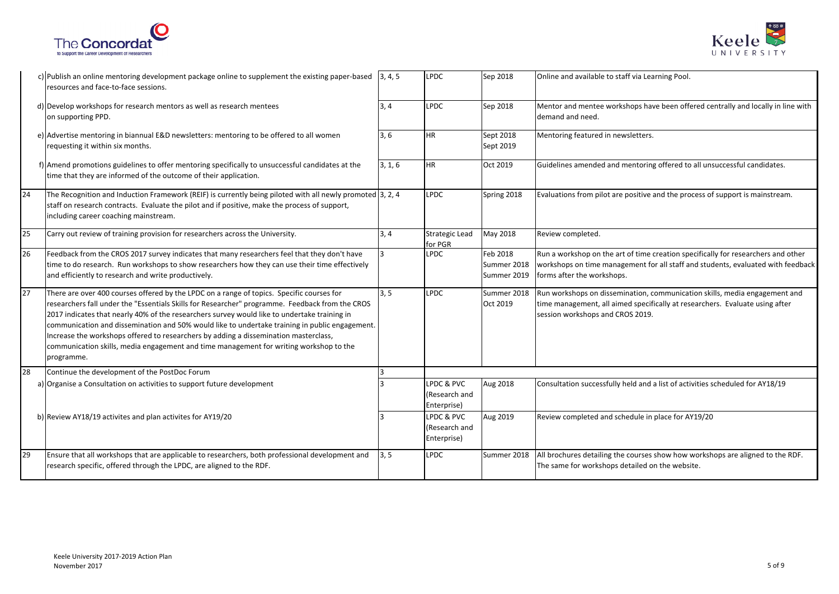



|    | c) Publish an online mentoring development package online to supplement the existing paper-based<br>resources and face-to-face sessions.                                                                                                                                                                                                                                                                                                                                                                                                                                                       | 3, 4, 5 | <b>LPDC</b>                                | Sep 2018                               | Online and available to staff via Learning Pool.                                                                                                                                                    |
|----|------------------------------------------------------------------------------------------------------------------------------------------------------------------------------------------------------------------------------------------------------------------------------------------------------------------------------------------------------------------------------------------------------------------------------------------------------------------------------------------------------------------------------------------------------------------------------------------------|---------|--------------------------------------------|----------------------------------------|-----------------------------------------------------------------------------------------------------------------------------------------------------------------------------------------------------|
|    | d) Develop workshops for research mentors as well as research mentees<br>on supporting PPD.                                                                                                                                                                                                                                                                                                                                                                                                                                                                                                    | 3, 4    | <b>LPDC</b>                                | Sep 2018                               | Mentor and mentee workshops have been offered centrally and locally in line with<br>demand and need.                                                                                                |
|    | e) Advertise mentoring in biannual E&D newsletters: mentoring to be offered to all women<br>requesting it within six months.                                                                                                                                                                                                                                                                                                                                                                                                                                                                   | 3, 6    | <b>HR</b>                                  | Sept 2018<br>Sept 2019                 | Mentoring featured in newsletters.                                                                                                                                                                  |
|    | f) Amend promotions guidelines to offer mentoring specifically to unsuccessful candidates at the<br>time that they are informed of the outcome of their application.                                                                                                                                                                                                                                                                                                                                                                                                                           | 3, 1, 6 | <b>HR</b>                                  | Oct 2019                               | Guidelines amended and mentoring offered to all unsuccessful candidates.                                                                                                                            |
| 24 | The Recognition and Induction Framework (REIF) is currently being piloted with all newly promoted $\left 3, 2, 4\right $<br>staff on research contracts. Evaluate the pilot and if positive, make the process of support,<br>including career coaching mainstream.                                                                                                                                                                                                                                                                                                                             |         | <b>LPDC</b>                                | Spring 2018                            | Evaluations from pilot are positive and the process of support is mainstream.                                                                                                                       |
| 25 | Carry out review of training provision for researchers across the University.                                                                                                                                                                                                                                                                                                                                                                                                                                                                                                                  | 3, 4    | <b>Strategic Lead</b><br>for PGR           | May 2018                               | Review completed.                                                                                                                                                                                   |
| 26 | Feedback from the CROS 2017 survey indicates that many researchers feel that they don't have<br>time to do research. Run workshops to show researchers how they can use their time effectively<br>and efficiently to research and write productively.                                                                                                                                                                                                                                                                                                                                          |         | <b>LPDC</b>                                | Feb 2018<br>Summer 2018<br>Summer 2019 | Run a workshop on the art of time creation specifically for researchers and other<br>workshops on time management for all staff and students, evaluated with feedback<br>forms after the workshops. |
| 27 | There are over 400 courses offered by the LPDC on a range of topics. Specific courses for<br>researchers fall under the "Essentials Skills for Researcher" programme. Feedback from the CROS<br>2017 indicates that nearly 40% of the researchers survey would like to undertake training in<br>communication and dissemination and 50% would like to undertake training in public engagement.<br>Increase the workshops offered to researchers by adding a dissemination masterclass,<br>communication skills, media engagement and time management for writing workshop to the<br>programme. | 3, 5    | <b>LPDC</b>                                | Summer 2018<br>Oct 2019                | Run workshops on dissemination, communication skills, media engagement and<br>time management, all aimed specifically at researchers. Evaluate using after<br>session workshops and CROS 2019.      |
| 28 | Continue the development of the PostDoc Forum                                                                                                                                                                                                                                                                                                                                                                                                                                                                                                                                                  |         |                                            |                                        |                                                                                                                                                                                                     |
|    | a) Organise a Consultation on activities to support future development                                                                                                                                                                                                                                                                                                                                                                                                                                                                                                                         |         | LPDC & PVC<br>(Research and<br>Enterprise) | Aug 2018                               | Consultation successfully held and a list of activities scheduled for AY18/19                                                                                                                       |
|    | b) Review AY18/19 activites and plan activites for AY19/20                                                                                                                                                                                                                                                                                                                                                                                                                                                                                                                                     |         | LPDC & PVC<br>(Research and<br>Enterprise) | Aug 2019                               | Review completed and schedule in place for AY19/20                                                                                                                                                  |
| 29 | Ensure that all workshops that are applicable to researchers, both professional development and<br>research specific, offered through the LPDC, are aligned to the RDF.                                                                                                                                                                                                                                                                                                                                                                                                                        | 3.5     | <b>LPDC</b>                                | Summer 2018                            | All brochures detailing the courses show how workshops are aligned to the RDF.<br>The same for workshops detailed on the website.                                                                   |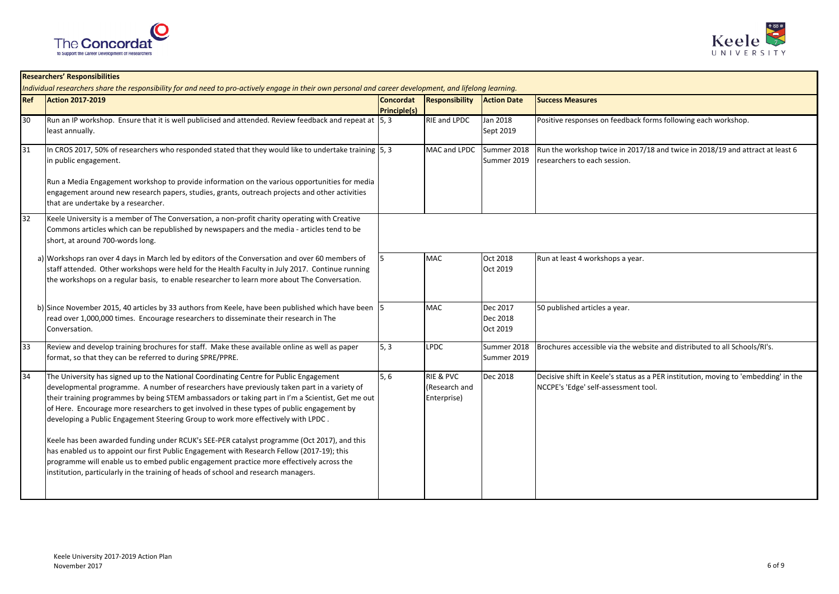



|            | <b>Researchers' Responsibilities</b><br>Individual researchers share the responsibility for and need to pro-actively engage in their own personal and career development, and lifelong learning.                                                                                                                                                                                                                                                                              |                                  |                                                      |                                  |                                                                                                                             |  |  |  |
|------------|-------------------------------------------------------------------------------------------------------------------------------------------------------------------------------------------------------------------------------------------------------------------------------------------------------------------------------------------------------------------------------------------------------------------------------------------------------------------------------|----------------------------------|------------------------------------------------------|----------------------------------|-----------------------------------------------------------------------------------------------------------------------------|--|--|--|
| <b>Ref</b> | <b>Action 2017-2019</b>                                                                                                                                                                                                                                                                                                                                                                                                                                                       | Concordat<br><b>Principle(s)</b> | Responsibility                                       | <b>Action Date</b>               | <b>Success Measures</b>                                                                                                     |  |  |  |
| 30         | Run an IP workshop. Ensure that it is well publicised and attended. Review feedback and repeat at [5, 3]<br>least annually.                                                                                                                                                                                                                                                                                                                                                   |                                  | <b>RIE and LPDC</b>                                  | Jan 2018<br>Sept 2019            | Positive responses on feedback forms following each workshop.                                                               |  |  |  |
| 31         | In CROS 2017, 50% of researchers who responded stated that they would like to undertake training $ 5,3\rangle$<br>in public engagement.                                                                                                                                                                                                                                                                                                                                       |                                  | MAC and LPDC                                         | Summer 2018<br>Summer 2019       | Run the workshop twice in 2017/18 and twice in 2018/19 and attract at least 6<br>researchers to each session.               |  |  |  |
|            | Run a Media Engagement workshop to provide information on the various opportunities for media<br>engagement around new research papers, studies, grants, outreach projects and other activities<br>that are undertake by a researcher.                                                                                                                                                                                                                                        |                                  |                                                      |                                  |                                                                                                                             |  |  |  |
| 32         | Keele University is a member of The Conversation, a non-profit charity operating with Creative<br>Commons articles which can be republished by newspapers and the media - articles tend to be<br>short, at around 700-words long.                                                                                                                                                                                                                                             |                                  |                                                      |                                  |                                                                                                                             |  |  |  |
|            | a) Workshops ran over 4 days in March led by editors of the Conversation and over 60 members of<br>staff attended. Other workshops were held for the Health Faculty in July 2017. Continue running<br>the workshops on a regular basis, to enable researcher to learn more about The Conversation.                                                                                                                                                                            |                                  | <b>MAC</b>                                           | Oct 2018<br>Oct 2019             | Run at least 4 workshops a year.                                                                                            |  |  |  |
|            | b) Since November 2015, 40 articles by 33 authors from Keele, have been published which have been 5<br>read over 1,000,000 times. Encourage researchers to disseminate their research in The<br>Conversation.                                                                                                                                                                                                                                                                 |                                  | <b>MAC</b>                                           | Dec 2017<br>Dec 2018<br>Oct 2019 | 50 published articles a year.                                                                                               |  |  |  |
| 33         | Review and develop training brochures for staff. Make these available online as well as paper<br>format, so that they can be referred to during SPRE/PPRE.                                                                                                                                                                                                                                                                                                                    | 5, 3                             | LPDC                                                 | Summer 2018<br>Summer 2019       | Brochures accessible via the website and distributed to all Schools/RI's.                                                   |  |  |  |
| 34         | The University has signed up to the National Coordinating Centre for Public Engagement<br>developmental programme. A number of researchers have previously taken part in a variety of<br>their training programmes by being STEM ambassadors or taking part in I'm a Scientist, Get me out<br>of Here. Encourage more researchers to get involved in these types of public engagement by<br>developing a Public Engagement Steering Group to work more effectively with LPDC. | 5, 6                             | <b>RIE &amp; PVC</b><br>(Research and<br>Enterprise) | Dec 2018                         | Decisive shift in Keele's status as a PER institution, moving to 'embedding' in the<br>NCCPE's 'Edge' self-assessment tool. |  |  |  |
|            | Keele has been awarded funding under RCUK's SEE-PER catalyst programme (Oct 2017), and this<br>has enabled us to appoint our first Public Engagement with Research Fellow (2017-19); this<br>programme will enable us to embed public engagement practice more effectively across the<br>institution, particularly in the training of heads of school and research managers.                                                                                                  |                                  |                                                      |                                  |                                                                                                                             |  |  |  |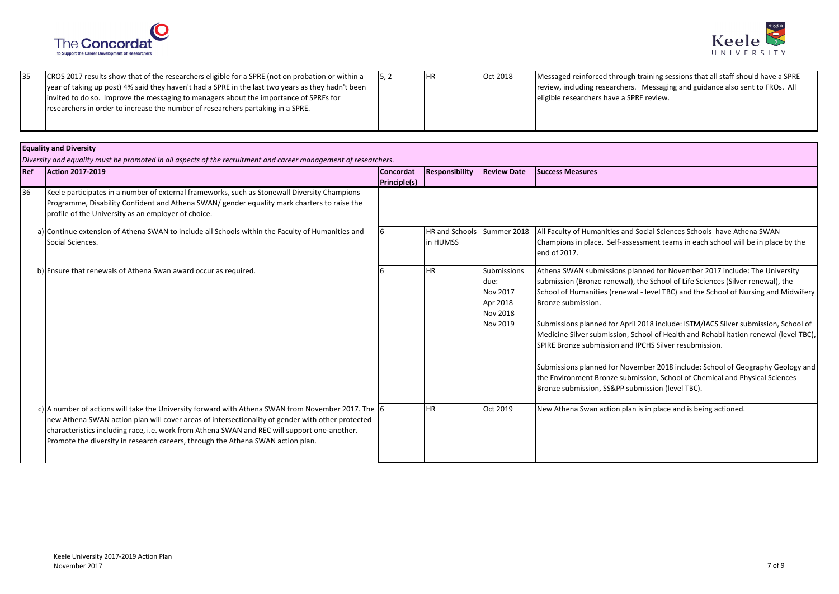



| CROS 2017 results show that of the researchers eligible for a SPRE (not on probation or within a  | <b>IHR</b> | Oct 2018 | Messaged reinforced through training sessions that all staff should have a SPRE |
|---------------------------------------------------------------------------------------------------|------------|----------|---------------------------------------------------------------------------------|
| year of taking up post) 4% said they haven't had a SPRE in the last two years as they hadn't been |            |          | review, including researchers. Messaging and guidance also sent to FROs. All    |
| invited to do so. Improve the messaging to managers about the importance of SPREs for             |            |          | eligible researchers have a SPRE review.                                        |
| researchers in order to increase the number of researchers partaking in a SPRE.                   |            |          |                                                                                 |
|                                                                                                   |            |          |                                                                                 |

## **Equality and Diversity**

*Diversity and equality must be promoted in all aspects of the recruitment and career management of researchers.*

| Ref | <b>Action 2017-2019</b>                                                                                                                                                                                                                                                                                                                                                                   | <b>Concordat</b><br><b>Principle(s)</b> | Responsibility             | <b>Review Date</b>                                                                | <b>Success Measures</b>                                                                                                                                                                                                                                                                                                                                                                                                                                                                                                                                                                                                                                                                                                              |
|-----|-------------------------------------------------------------------------------------------------------------------------------------------------------------------------------------------------------------------------------------------------------------------------------------------------------------------------------------------------------------------------------------------|-----------------------------------------|----------------------------|-----------------------------------------------------------------------------------|--------------------------------------------------------------------------------------------------------------------------------------------------------------------------------------------------------------------------------------------------------------------------------------------------------------------------------------------------------------------------------------------------------------------------------------------------------------------------------------------------------------------------------------------------------------------------------------------------------------------------------------------------------------------------------------------------------------------------------------|
| 36  | Keele participates in a number of external frameworks, such as Stonewall Diversity Champions<br>Programme, Disability Confident and Athena SWAN/ gender equality mark charters to raise the<br>profile of the University as an employer of choice.                                                                                                                                        |                                         |                            |                                                                                   |                                                                                                                                                                                                                                                                                                                                                                                                                                                                                                                                                                                                                                                                                                                                      |
|     | a) Continue extension of Athena SWAN to include all Schools within the Faculty of Humanities and<br>Social Sciences.                                                                                                                                                                                                                                                                      |                                         | HR and Schools<br>in HUMSS | Summer 2018                                                                       | All Faculty of Humanities and Social Sciences Schools have Athena SWAN<br>Champions in place. Self-assessment teams in each school will be in place by the<br>end of 2017.                                                                                                                                                                                                                                                                                                                                                                                                                                                                                                                                                           |
|     | b) Ensure that renewals of Athena Swan award occur as required.                                                                                                                                                                                                                                                                                                                           |                                         | <b>HR</b>                  | <b>Submissions</b><br>due:<br>Nov 2017<br>Apr 2018<br><b>Nov 2018</b><br>Nov 2019 | Athena SWAN submissions planned for November 2017 include: The University<br>submission (Bronze renewal), the School of Life Sciences (Silver renewal), the<br>School of Humanities (renewal - level TBC) and the School of Nursing and Midwifery<br>Bronze submission.<br>Submissions planned for April 2018 include: ISTM/IACS Silver submission, School of<br>Medicine Silver submission, School of Health and Rehabilitation renewal (level TBC),<br>SPIRE Bronze submission and IPCHS Silver resubmission.<br>Submissions planned for November 2018 include: School of Geography Geology and<br>the Environment Bronze submission, School of Chemical and Physical Sciences<br>Bronze submission, SS&PP submission (level TBC). |
|     | c) A number of actions will take the University forward with Athena SWAN from November 2017. The 6<br>new Athena SWAN action plan will cover areas of intersectionality of gender with other protected<br>characteristics including race, i.e. work from Athena SWAN and REC will support one-another.<br>Promote the diversity in research careers, through the Athena SWAN action plan. |                                         | <b>HR</b>                  | Oct 2019                                                                          | New Athena Swan action plan is in place and is being actioned.                                                                                                                                                                                                                                                                                                                                                                                                                                                                                                                                                                                                                                                                       |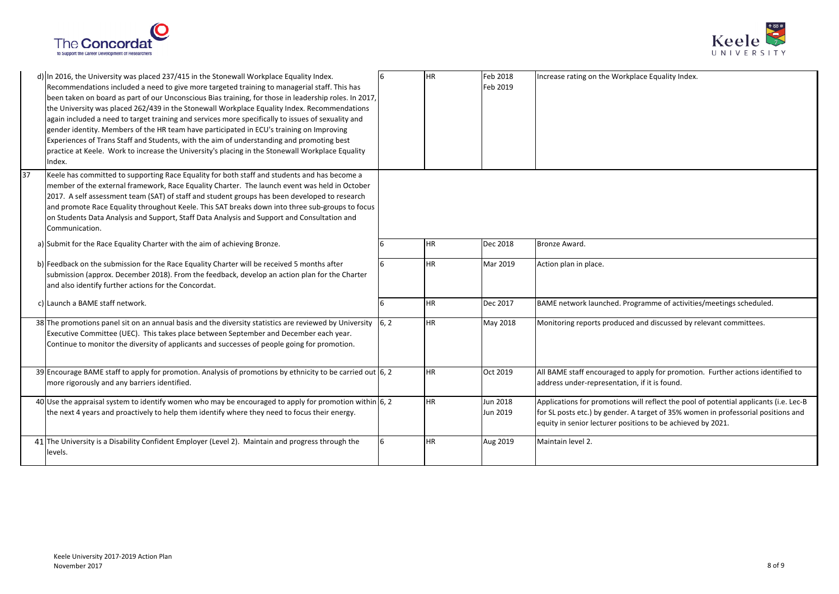



| 37 | d) In 2016, the University was placed 237/415 in the Stonewall Workplace Equality Index.<br>Recommendations included a need to give more targeted training to managerial staff. This has<br>been taken on board as part of our Unconscious Bias training, for those in leadership roles. In 2017,<br>the University was placed 262/439 in the Stonewall Workplace Equality Index. Recommendations<br>again included a need to target training and services more specifically to issues of sexuality and<br>gender identity. Members of the HR team have participated in ECU's training on Improving<br>Experiences of Trans Staff and Students, with the aim of understanding and promoting best<br>practice at Keele. Work to increase the University's placing in the Stonewall Workplace Equality<br>Index.<br>Keele has committed to supporting Race Equality for both staff and students and has become a |   | <b>HR</b> | Feb 2018<br>Feb 2019 | Increase rating on the Workplace Equality Index.                                                                                                                                                                                          |
|----|----------------------------------------------------------------------------------------------------------------------------------------------------------------------------------------------------------------------------------------------------------------------------------------------------------------------------------------------------------------------------------------------------------------------------------------------------------------------------------------------------------------------------------------------------------------------------------------------------------------------------------------------------------------------------------------------------------------------------------------------------------------------------------------------------------------------------------------------------------------------------------------------------------------|---|-----------|----------------------|-------------------------------------------------------------------------------------------------------------------------------------------------------------------------------------------------------------------------------------------|
|    | member of the external framework, Race Equality Charter. The launch event was held in October<br>2017. A self assessment team (SAT) of staff and student groups has been developed to research<br>and promote Race Equality throughout Keele. This SAT breaks down into three sub-groups to focus<br>on Students Data Analysis and Support, Staff Data Analysis and Support and Consultation and<br>Communication.                                                                                                                                                                                                                                                                                                                                                                                                                                                                                             |   |           |                      |                                                                                                                                                                                                                                           |
|    | a) Submit for the Race Equality Charter with the aim of achieving Bronze.                                                                                                                                                                                                                                                                                                                                                                                                                                                                                                                                                                                                                                                                                                                                                                                                                                      |   | <b>HR</b> | Dec 2018             | Bronze Award.                                                                                                                                                                                                                             |
|    | b) Feedback on the submission for the Race Equality Charter will be received 5 months after<br>submission (approx. December 2018). From the feedback, develop an action plan for the Charter<br>and also identify further actions for the Concordat.                                                                                                                                                                                                                                                                                                                                                                                                                                                                                                                                                                                                                                                           |   | <b>HR</b> | Mar 2019             | Action plan in place.                                                                                                                                                                                                                     |
|    | c) Launch a BAME staff network.                                                                                                                                                                                                                                                                                                                                                                                                                                                                                                                                                                                                                                                                                                                                                                                                                                                                                |   | <b>HR</b> | Dec 2017             | BAME network launched. Programme of activities/meetings scheduled.                                                                                                                                                                        |
|    | 38 The promotions panel sit on an annual basis and the diversity statistics are reviewed by University $\begin{bmatrix} 6,2 \end{bmatrix}$<br>Executive Committee (UEC). This takes place between September and December each year.<br>Continue to monitor the diversity of applicants and successes of people going for promotion.                                                                                                                                                                                                                                                                                                                                                                                                                                                                                                                                                                            |   | <b>HR</b> | May 2018             | Monitoring reports produced and discussed by relevant committees.                                                                                                                                                                         |
|    | 39 Encourage BAME staff to apply for promotion. Analysis of promotions by ethnicity to be carried out $\vert 6, 2 \rangle$<br>more rigorously and any barriers identified.                                                                                                                                                                                                                                                                                                                                                                                                                                                                                                                                                                                                                                                                                                                                     |   | <b>HR</b> | Oct 2019             | All BAME staff encouraged to apply for promotion. Further actions identified to<br>address under-representation, if it is found.                                                                                                          |
|    | 40 Use the appraisal system to identify women who may be encouraged to apply for promotion within $6, 2$<br>the next 4 years and proactively to help them identify where they need to focus their energy.                                                                                                                                                                                                                                                                                                                                                                                                                                                                                                                                                                                                                                                                                                      |   | <b>HR</b> | Jun 2018<br>Jun 2019 | Applications for promotions will reflect the pool of potential applicants (i.e. Lec-B<br>for SL posts etc.) by gender. A target of 35% women in professorial positions and<br>equity in senior lecturer positions to be achieved by 2021. |
|    | 41 The University is a Disability Confident Employer (Level 2). Maintain and progress through the<br>levels.                                                                                                                                                                                                                                                                                                                                                                                                                                                                                                                                                                                                                                                                                                                                                                                                   | 6 | <b>HR</b> | Aug 2019             | Maintain level 2.                                                                                                                                                                                                                         |